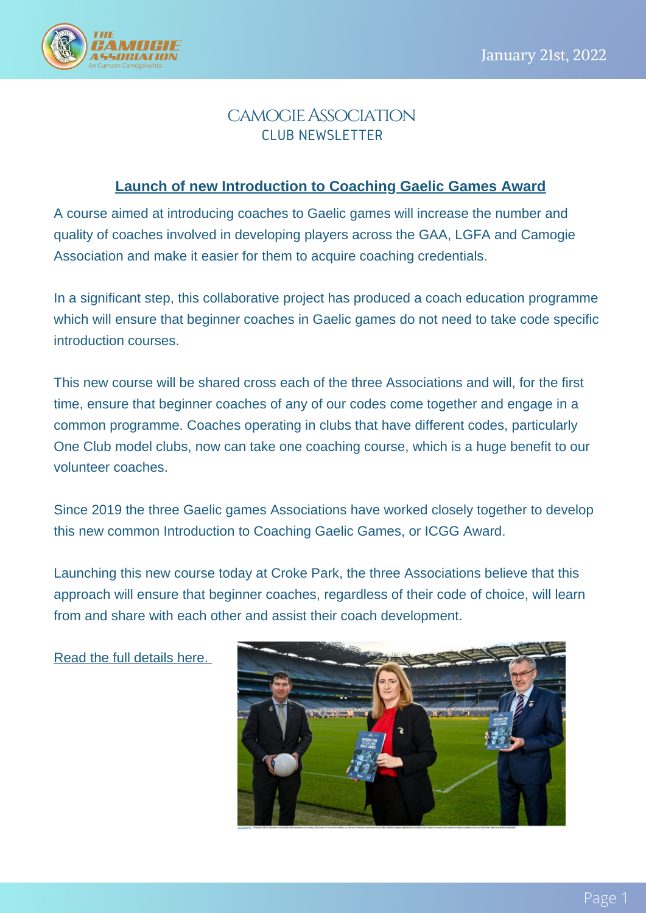

## camogieAssociation CLUB NEWSLETTER

#### **Launch of new [Introduction](https://camogie.ie/news/launch-of-new-introduction-to-coaching-gaelic-games-award/) to Coaching Gaelic Games Award**

A course aimed at introducing coaches to Gaelic games will increase the number and quality of coaches involved in developing players across the GAA, LGFA and Camogie Association and make it easier for them to acquire coaching credentials.

In a significant step, this collaborative project has produced a coach education programme which will ensure that beginner coaches in Gaelic games do not need to take code specific introduction courses.

This new course will be shared cross each of the three Associations and will, for the first time, ensure that beginner coaches of any of our codes come together and engage in a common programme. Coaches operating in clubs that have different codes, particularly One Club model clubs, now can take one coaching course, which is a huge benefit to our volunteer coaches.

Since 2019 the three Gaelic games Associations have worked closely together to develop this new common Introduction to Coaching Gaelic Games, or ICGG Award.

Launching this new course today at Croke Park, the three Associations believe that this approach will ensure that beginner coaches, regardless of their code of choice, will learn from and share with each other and assist their coach development.

Read the full [details](https://camogie.ie/news/launch-of-new-introduction-to-coaching-gaelic-games-award/) here[.](https://camogie.ie/news/launch-of-new-introduction-to-coaching-gaelic-games-award/)

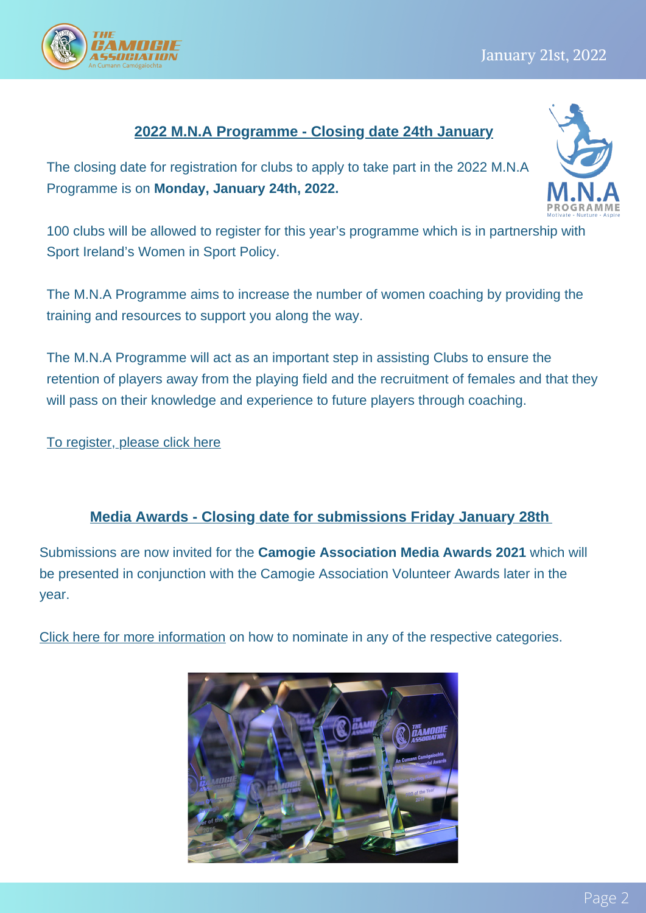# **2022 M.N.A Programme - Closing date 24th January**

The closing date for registration for clubs to apply to take part in the 2022 M.N.A Programme is on **Monday, January 24th, 2022.**

100 clubs will be allowed to register for this year's programme which is in partnership with Sport Ireland's Women in Sport Policy.

The M.N.A Programme aims to increase the number of women coaching by providing the training and resources to support you along the way.

The M.N.A Programme will act as an important step in assisting Clubs to ensure the retention of players away from the playing field and the recruitment of females and that they will pass on their knowledge and experience to future players through coaching.

To [register,](https://forms.office.com/r/de3iiSEApd) please click here

#### **Media Awards - Closing date for submissions Friday January 28th**

Submissions are now invited for the **Camogie Association Media Awards 2021** which will be presented in conjunction with the Camogie Association Volunteer Awards later in the year.

Click here for more [information](https://camogie.ie/news/nominations-sought-for-the-camogie-association-media-awards-2021/) on how to nominate in any of the respective categories.





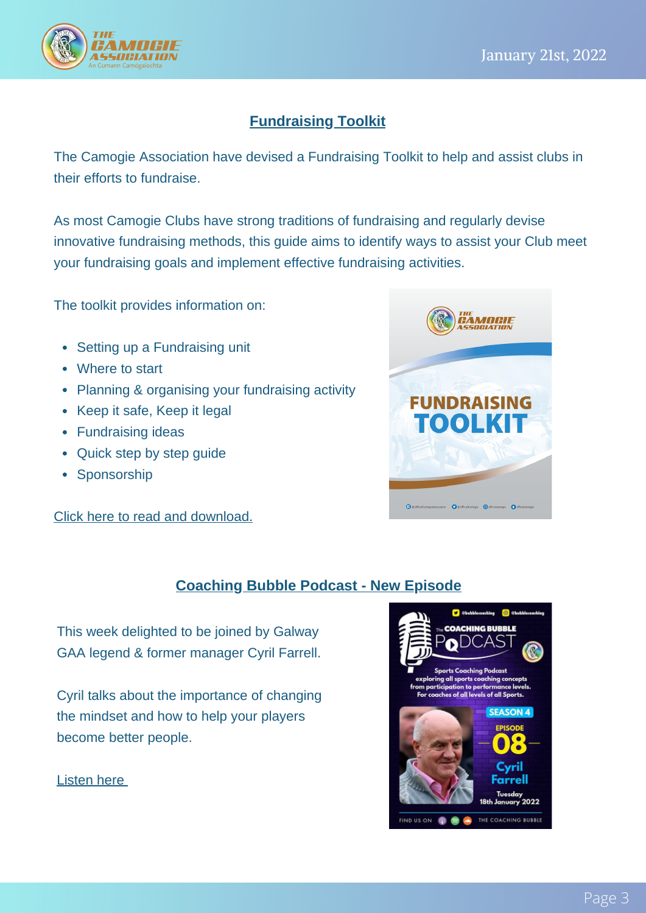

## **Fundraising Toolkit**

The Camogie Association have devised a Fundraising Toolkit to help and assist clubs in their efforts to fundraise.

As most Camogie Clubs have strong traditions of fundraising and regularly devise innovative fundraising methods, this guide aims to identify ways to assist your Club meet your fundraising goals and implement effective fundraising activities.

The toolkit provides information on:

- Setting up a Fundraising unit
- Where to start
- Planning & organising your fundraising activity
- Keep it safe, Keep it legal
- Fundraising ideas
- Quick step by step guide
- Sponsorship

Click here to read and [download.](https://camogie.ie/news/fundraising-toolkit-for-clubs/)



#### **Coaching Bubble Podcast - New Episode**

This week delighted to be joined by Galway GAA legend & former manager Cyril Farrell.

Cyril talks about the importance of changing the mindset and how to help your players become better people.

[Liste](https://bit.ly/32eDVb7)n [here](https://bit.ly/32eDVb7)